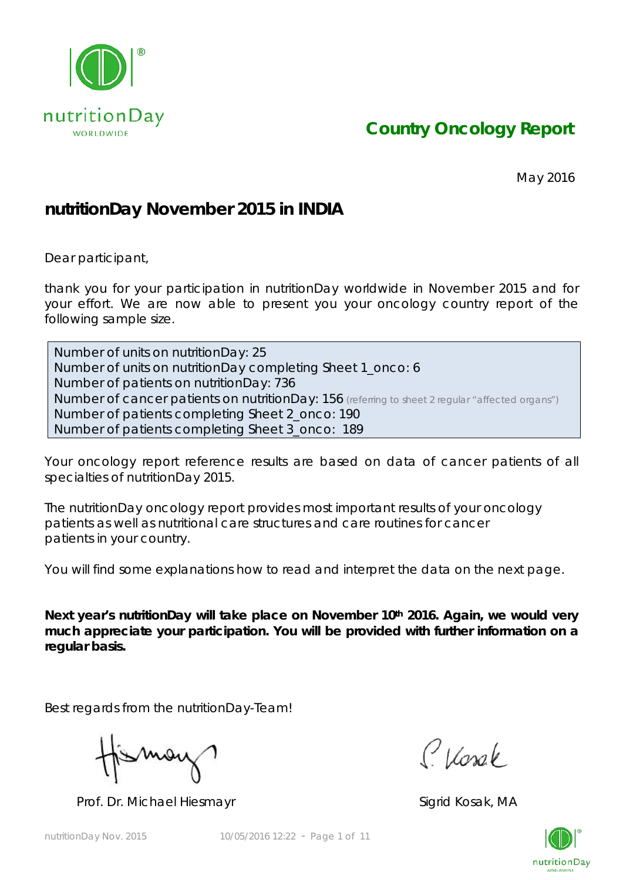

*Country Oncology Report*

May 2016

## **nutritionDay November 2015 in INDIA**

Dear participant,

thank you for your participation in nutritionDay worldwide in November 2015 and for your effort. We are now able to present you your oncology country report of the following sample size.

Number of units on nutritionDay: 25 Number of units on nutritionDay completing Sheet 1\_onco: 6 Number of patients on nutritionDay: 736 Number of cancer patients on nutritionDay: 156 *(referring to sheet 2 regular "affected organs")* Number of patients completing Sheet 2\_onco: 190 Number of patients completing Sheet 3\_onco: 189

Your oncology report reference results are based on data of cancer patients of all specialties of nutritionDay 2015.

The nutritionDay oncology report provides most important results of your oncology patients as well as nutritional care structures and care routines for cancer patients in your country.

You will find some explanations how to read and interpret the data on the next page.

Next year's nutritionDay will take place on November 10<sup>th</sup> 2016. Again, we would very **much appreciate your participation. You will be provided with further information on a regular basis.** 

Best regards from the nutritionDay-Team!

Mov

Prof. Dr. Michael Hiesmayr Sigrid Kosak, MA

Classe

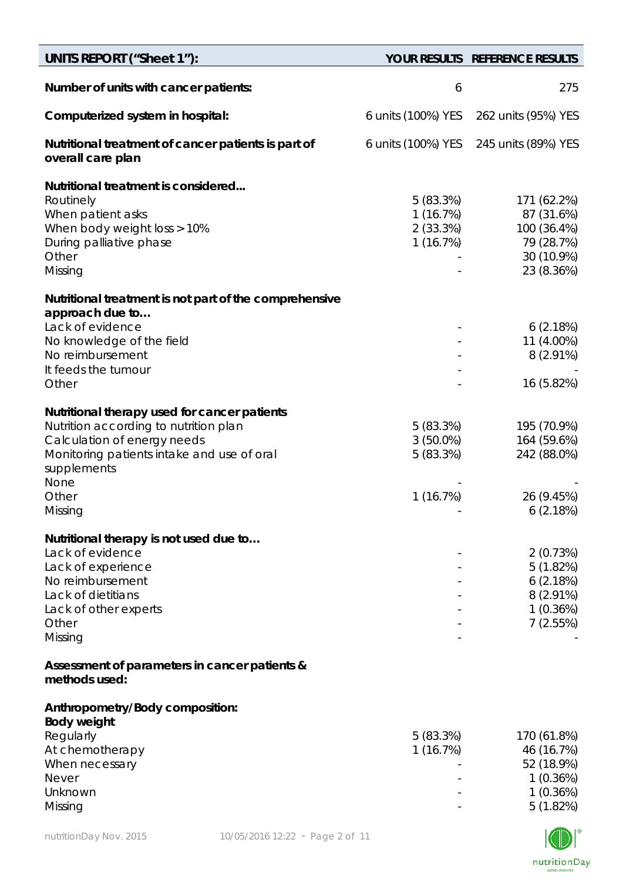| <b>UNITS REPORT ("Sheet 1"):</b>                                                                                                                                                          |                                                  | YOUR RESULTS REFERENCE RESULTS                                                     |
|-------------------------------------------------------------------------------------------------------------------------------------------------------------------------------------------|--------------------------------------------------|------------------------------------------------------------------------------------|
| Number of units with cancer patients:                                                                                                                                                     | 6                                                | 275                                                                                |
| Computerized system in hospital:                                                                                                                                                          | 6 units (100%) YES                               | 262 units (95%) YES                                                                |
| Nutritional treatment of cancer patients is part of<br>overall care plan                                                                                                                  | 6 units (100%) YES                               | 245 units (89%) YES                                                                |
| Nutritional treatment is considered<br>Routinely<br>When patient asks<br>When body weight loss > 10%<br>During palliative phase<br>Other<br>Missing                                       | 5(83.3%)<br>1 (16.7%)<br>$2(33.3\%)$<br>1(16.7%) | 171 (62.2%)<br>87 (31.6%)<br>100 (36.4%)<br>79 (28.7%)<br>30 (10.9%)<br>23 (8.36%) |
| Nutritional treatment is not part of the comprehensive<br>approach due to                                                                                                                 |                                                  |                                                                                    |
| Lack of evidence<br>No knowledge of the field<br>No reimbursement<br>It feeds the tumour                                                                                                  |                                                  | 6(2.18%)<br>11 (4.00%)<br>$8(2.91\%)$                                              |
| Other                                                                                                                                                                                     |                                                  | 16 (5.82%)                                                                         |
| Nutritional therapy used for cancer patients<br>Nutrition according to nutrition plan<br>Calculation of energy needs<br>Monitoring patients intake and use of oral<br>supplements<br>None | 5(83.3%)<br>$3(50.0\%)$<br>5(83.3%)              | 195 (70.9%)<br>164 (59.6%)<br>242 (88.0%)                                          |
| Other<br>Missing                                                                                                                                                                          | 1(16.7%)                                         | 26 (9.45%)<br>6(2.18%)                                                             |
| Nutritional therapy is not used due to<br>Lack of evidence<br>Lack of experience<br>No reimbursement<br>Lack of dietitians<br>Lack of other experts<br>Other<br>Missing                   |                                                  | 2(0.73%)<br>5(1.82%)<br>6(2.18%)<br>$8(2.91\%)$<br>1(0.36%)<br>7(2.55%)            |
| Assessment of parameters in cancer patients &<br>methods used:                                                                                                                            |                                                  |                                                                                    |
| Anthropometry/Body composition:<br><b>Body weight</b><br>Regularly<br>At chemotherapy<br>When necessary<br><b>Never</b><br>Unknown<br>Missing                                             | 5 (83.3%)<br>1 (16.7%)                           | 170 (61.8%)<br>46 (16.7%)<br>52 (18.9%)<br>1(0.36%)<br>1(0.36%)<br>5(1.82%)        |

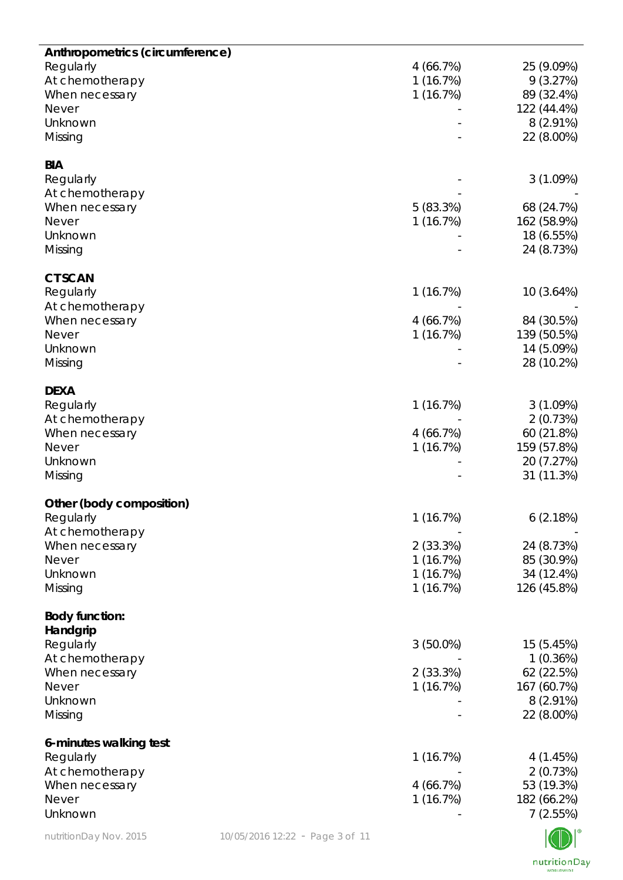| Anthropometrics (circumference)<br>Regularly<br>At chemotherapy<br>When necessary<br>Never<br>Unknown<br>Missing   |                                 | 4(66.7%)<br>1(16.7%)<br>1(16.7%)                         | 25 (9.09%)<br>9(3.27%)<br>89 (32.4%)<br>122 (44.4%)<br>8 (2.91%)<br>22 (8.00%)   |
|--------------------------------------------------------------------------------------------------------------------|---------------------------------|----------------------------------------------------------|----------------------------------------------------------------------------------|
| <b>BIA</b><br>Regularly<br>At chemotherapy<br>When necessary<br>Never<br>Unknown<br>Missing                        |                                 | 5(83.3%)<br>1(16.7%)                                     | 3(1.09%)<br>68 (24.7%)<br>162 (58.9%)<br>18 (6.55%)<br>24 (8.73%)                |
| <b>CT SCAN</b><br>Regularly<br>At chemotherapy<br>When necessary<br><b>Never</b><br>Unknown<br>Missing             |                                 | 1(16.7%)<br>4(66.7%)<br>1(16.7%)                         | 10(3.64%)<br>84 (30.5%)<br>139 (50.5%)<br>14 (5.09%)<br>28 (10.2%)               |
| <b>DEXA</b><br>Regularly<br>At chemotherapy<br>When necessary<br><b>Never</b><br>Unknown<br>Missing                |                                 | 1(16.7%)<br>4(66.7%)<br>1(16.7%)                         | 3(1.09%)<br>2(0.73%)<br>60 (21.8%)<br>159 (57.8%)<br>20 (7.27%)<br>31 (11.3%)    |
| Other (body composition)<br>Regularly<br>At chemotherapy<br>When necessary<br><b>Never</b><br>Unknown<br>Missing   |                                 | 1(16.7%)<br>2(33.3%)<br>1(16.7%)<br>1(16.7%)<br>1(16.7%) | 6(2.18%)<br>24 (8.73%)<br>85 (30.9%)<br>34 (12.4%)<br>126 (45.8%)                |
| <b>Body function:</b><br>Handgrip<br>Regularly<br>At chemotherapy<br>When necessary<br>Never<br>Unknown<br>Missing |                                 | $3(50.0\%)$<br>2(33.3%)<br>1(16.7%)                      | 15 (5.45%)<br>1(0.36%)<br>62 (22.5%)<br>167 (60.7%)<br>$8(2.91\%)$<br>22 (8.00%) |
| 6-minutes walking test<br>Regularly<br>At chemotherapy<br>When necessary<br>Never<br>Unknown                       |                                 | 1(16.7%)<br>4 (66.7%)<br>1(16.7%)                        | 4 (1.45%)<br>2(0.73%)<br>53 (19.3%)<br>182 (66.2%)<br>7(2.55%)                   |
| nutritionDay Nov. 2015                                                                                             | 10/05/2016 12:22 - Page 3 of 11 |                                                          |                                                                                  |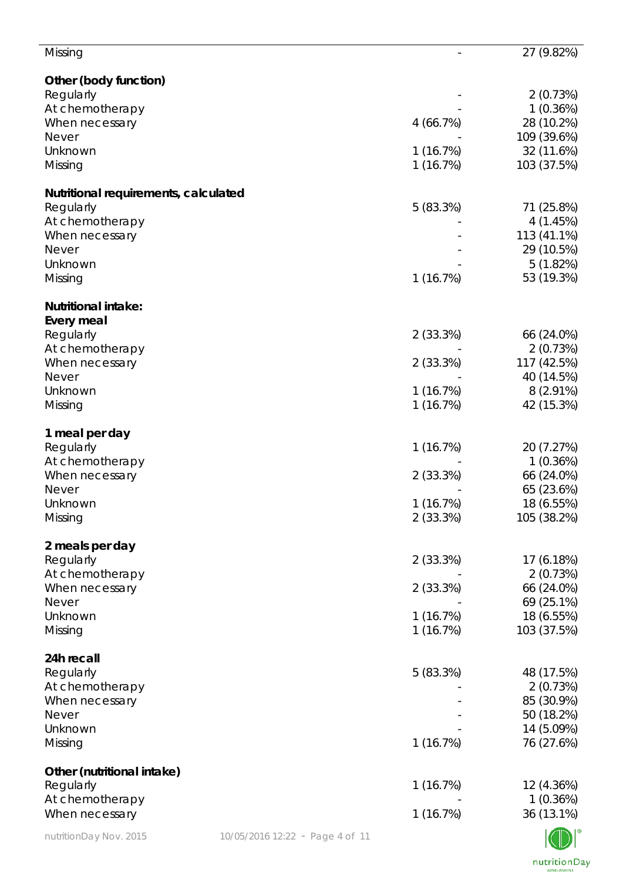| Missing                                           |                                 |          | 27 (9.82%)              |
|---------------------------------------------------|---------------------------------|----------|-------------------------|
| Other (body function)                             |                                 |          |                         |
| Regularly                                         |                                 |          | 2(0.73%)                |
| At chemotherapy                                   |                                 |          | 1(0.36%)                |
| When necessary                                    |                                 | 4(66.7%) | 28 (10.2%)              |
| <b>Never</b>                                      |                                 |          | 109 (39.6%)             |
| Unknown                                           |                                 | 1(16.7%) | 32 (11.6%)              |
| Missing                                           |                                 | 1(16.7%) | 103 (37.5%)             |
|                                                   |                                 |          |                         |
| Nutritional requirements, calculated<br>Regularly |                                 | 5(83.3%) | 71 (25.8%)              |
| At chemotherapy                                   |                                 |          | 4(1.45%)                |
| When necessary                                    |                                 |          | 113 (41.1%)             |
| <b>Never</b>                                      |                                 |          | 29 (10.5%)              |
| Unknown                                           |                                 |          | 5(1.82%)                |
| Missing                                           |                                 | 1(16.7%) | 53 (19.3%)              |
|                                                   |                                 |          |                         |
| <b>Nutritional intake:</b>                        |                                 |          |                         |
| <b>Every meal</b>                                 |                                 |          |                         |
| Regularly                                         |                                 | 2(33.3%) | 66 (24.0%)              |
| At chemotherapy                                   |                                 | 2(33.3%) | 2(0.73%)<br>117 (42.5%) |
| When necessary<br><b>Never</b>                    |                                 |          | 40 (14.5%)              |
| Unknown                                           |                                 | 1(16.7%) | $8(2.91\%)$             |
| Missing                                           |                                 | 1(16.7%) | 42 (15.3%)              |
|                                                   |                                 |          |                         |
| 1 meal per day                                    |                                 |          |                         |
| Regularly                                         |                                 | 1(16.7%) | 20 (7.27%)              |
| At chemotherapy                                   |                                 |          | 1(0.36%)                |
| When necessary                                    |                                 | 2(33.3%) | 66 (24.0%)              |
| <b>Never</b>                                      |                                 |          | 65 (23.6%)              |
| Unknown                                           |                                 | 1(16.7%) | 18 (6.55%)              |
| Missing                                           |                                 | 2(33.3%) | 105 (38.2%)             |
| 2 meals per day                                   |                                 |          |                         |
| Regularly                                         |                                 | 2(33.3%) | 17 (6.18%)              |
| At chemotherapy                                   |                                 |          | 2(0.73%)                |
| When necessary                                    |                                 | 2(33.3%) | 66 (24.0%)              |
| <b>Never</b>                                      |                                 |          | 69 (25.1%)              |
| Unknown                                           |                                 | 1(16.7%) | 18 (6.55%)              |
| Missing                                           |                                 | 1(16.7%) | 103 (37.5%)             |
|                                                   |                                 |          |                         |
| 24h recall                                        |                                 |          |                         |
| Regularly                                         |                                 | 5(83.3%) | 48 (17.5%)              |
| At chemotherapy<br>When necessary                 |                                 |          | 2(0.73%)<br>85 (30.9%)  |
| <b>Never</b>                                      |                                 |          | 50 (18.2%)              |
| Unknown                                           |                                 |          | 14 (5.09%)              |
| Missing                                           |                                 | 1(16.7%) | 76 (27.6%)              |
|                                                   |                                 |          |                         |
| Other (nutritional intake)                        |                                 |          |                         |
| Regularly                                         |                                 | 1(16.7%) | 12 (4.36%)              |
| At chemotherapy                                   |                                 |          | 1(0.36%)                |
| When necessary                                    |                                 | 1(16.7%) | 36 (13.1%)              |
| nutritionDay Nov. 2015                            | 10/05/2016 12:22 - Page 4 of 11 |          |                         |

 $\mathbb{C} \mathbb{D} \mathbb{I}$ nutritionDay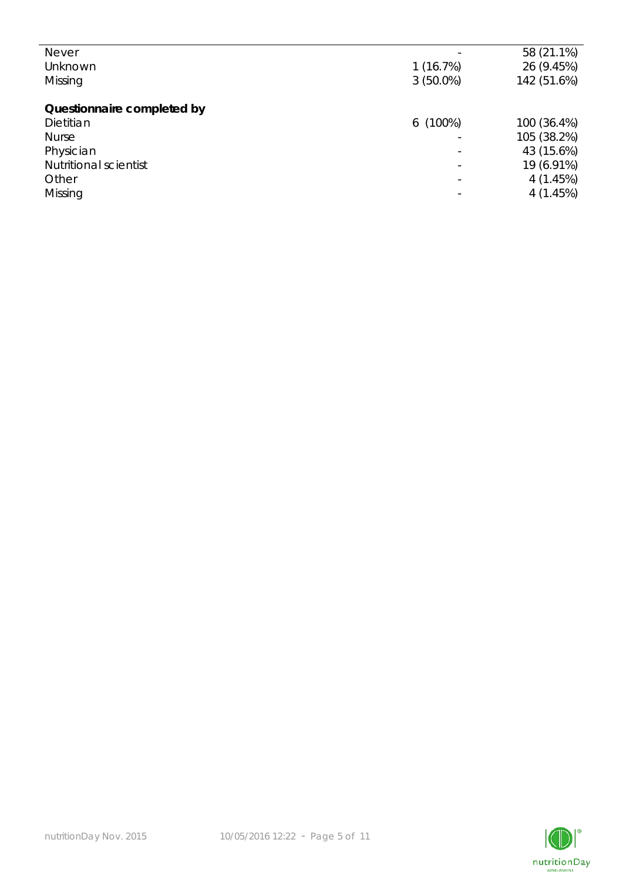| <b>Never</b>                 |             | 58 (21.1%)  |
|------------------------------|-------------|-------------|
| Unknown                      | 1(16.7%)    | 26 (9.45%)  |
| Missing                      | $3(50.0\%)$ | 142 (51.6%) |
|                              |             |             |
| Questionnaire completed by   |             |             |
| Dietitian                    | $6(100\%)$  | 100 (36.4%) |
| <b>Nurse</b>                 |             | 105 (38.2%) |
| Physician                    |             | 43 (15.6%)  |
| <b>Nutritional scientist</b> |             | 19 (6.91%)  |
| Other                        |             | 4(1.45%)    |
| Missing                      |             | 4(1.45%)    |
|                              |             |             |

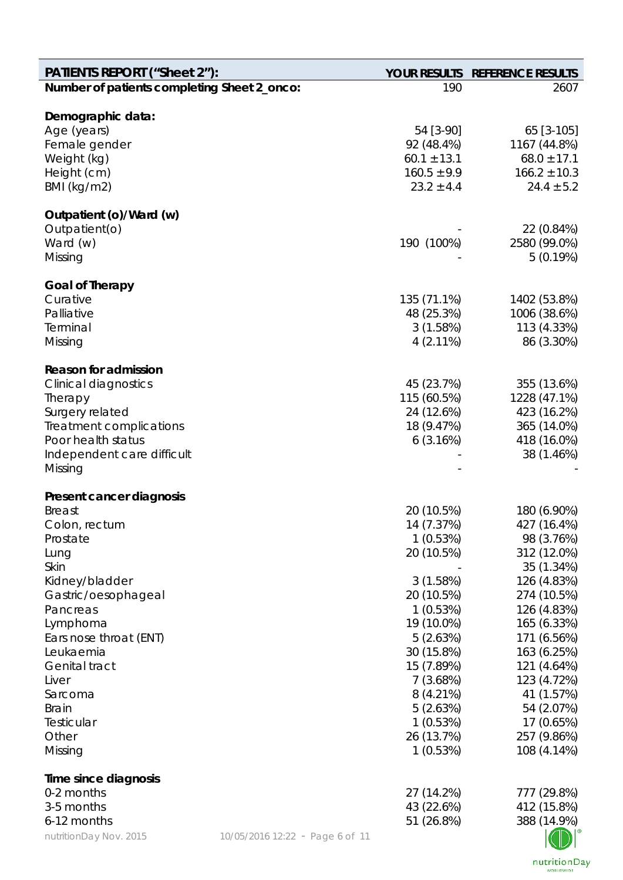| <b>PATIENTS REPORT ("Sheet 2"):</b>         |                                 |                                    | YOUR RESULTS REFERENCE RESULTS      |
|---------------------------------------------|---------------------------------|------------------------------------|-------------------------------------|
| Number of patients completing Sheet 2_onco: |                                 | 190                                | 2607                                |
|                                             |                                 |                                    |                                     |
| Demographic data:                           |                                 |                                    |                                     |
| Age (years)                                 |                                 | 54 [3-90]                          | 65 [3-105]                          |
| Female gender                               |                                 | 92 (48.4%)                         | 1167 (44.8%)                        |
| Weight (kg)                                 |                                 | $60.1 \pm 13.1$<br>$160.5 \pm 9.9$ | $68.0 \pm 17.1$<br>$166.2 \pm 10.3$ |
| Height (cm)<br>BMI (kg/m2)                  |                                 | $23.2 \pm 4.4$                     | $24.4 \pm 5.2$                      |
|                                             |                                 |                                    |                                     |
| Outpatient (o)/Ward (w)                     |                                 |                                    |                                     |
| Outpatient(o)                               |                                 |                                    | 22 (0.84%)                          |
| Ward (w)                                    |                                 | 190 (100%)                         | 2580 (99.0%)                        |
| Missing                                     |                                 |                                    | 5(0.19%)                            |
|                                             |                                 |                                    |                                     |
| <b>Goal of Therapy</b>                      |                                 |                                    |                                     |
| Curative<br>Palliative                      |                                 | 135 (71.1%)                        | 1402 (53.8%)<br>1006 (38.6%)        |
| Terminal                                    |                                 | 48 (25.3%)                         |                                     |
|                                             |                                 | 3(1.58%)<br>$4(2.11\%)$            | 113 (4.33%)                         |
| Missing                                     |                                 |                                    | 86 (3.30%)                          |
| <b>Reason for admission</b>                 |                                 |                                    |                                     |
| <b>Clinical diagnostics</b>                 |                                 | 45 (23.7%)                         | 355 (13.6%)                         |
| Therapy                                     |                                 | 115 (60.5%)                        | 1228 (47.1%)                        |
| Surgery related                             |                                 | 24 (12.6%)                         | 423 (16.2%)                         |
| Treatment complications                     |                                 | 18 (9.47%)                         | 365 (14.0%)                         |
| Poor health status                          |                                 | 6(3.16%)                           | 418 (16.0%)                         |
| Independent care difficult                  |                                 |                                    | 38 (1.46%)                          |
| Missing                                     |                                 |                                    |                                     |
|                                             |                                 |                                    |                                     |
| Present cancer diagnosis<br><b>Breast</b>   |                                 | 20 (10.5%)                         | 180 (6.90%)                         |
| Colon, rectum                               |                                 | 14 (7.37%)                         | 427 (16.4%)                         |
| Prostate                                    |                                 | 1(0.53%)                           | 98 (3.76%)                          |
| Lung                                        |                                 | 20 (10.5%)                         | 312 (12.0%)                         |
| Skin                                        |                                 |                                    | 35 (1.34%)                          |
| Kidney/bladder                              |                                 | 3(1.58%)                           | 126 (4.83%)                         |
| Gastric/oesophageal                         |                                 | 20 (10.5%)                         | 274 (10.5%)                         |
| Pancreas                                    |                                 | 1(0.53%)                           | 126 (4.83%)                         |
| Lymphoma                                    |                                 | 19 (10.0%)                         | 165 (6.33%)                         |
| Ears nose throat (ENT)                      |                                 | 5(2.63%)                           | 171 (6.56%)                         |
| Leukaemia                                   |                                 | 30 (15.8%)                         | 163 (6.25%)                         |
| <b>Genital tract</b>                        |                                 | 15 (7.89%)                         | 121 (4.64%)                         |
| Liver                                       |                                 | 7(3.68%)                           | 123 (4.72%)                         |
| Sarcoma                                     |                                 | 8(4.21%)                           | 41 (1.57%)                          |
| <b>Brain</b>                                |                                 | 5(2.63%)                           | 54 (2.07%)                          |
| Testicular                                  |                                 | 1(0.53%)                           | 17 (0.65%)                          |
| Other                                       |                                 | 26 (13.7%)                         | 257 (9.86%)                         |
| Missing                                     |                                 | 1(0.53%)                           | 108 (4.14%)                         |
|                                             |                                 |                                    |                                     |
| Time since diagnosis<br>0-2 months          |                                 | 27 (14.2%)                         | 777 (29.8%)                         |
| 3-5 months                                  |                                 | 43 (22.6%)                         | 412 (15.8%)                         |
| 6-12 months                                 |                                 | 51 (26.8%)                         | 388 (14.9%)                         |
|                                             |                                 |                                    |                                     |
| nutritionDay Nov. 2015                      | 10/05/2016 12:22 - Page 6 of 11 |                                    |                                     |

nutritionDay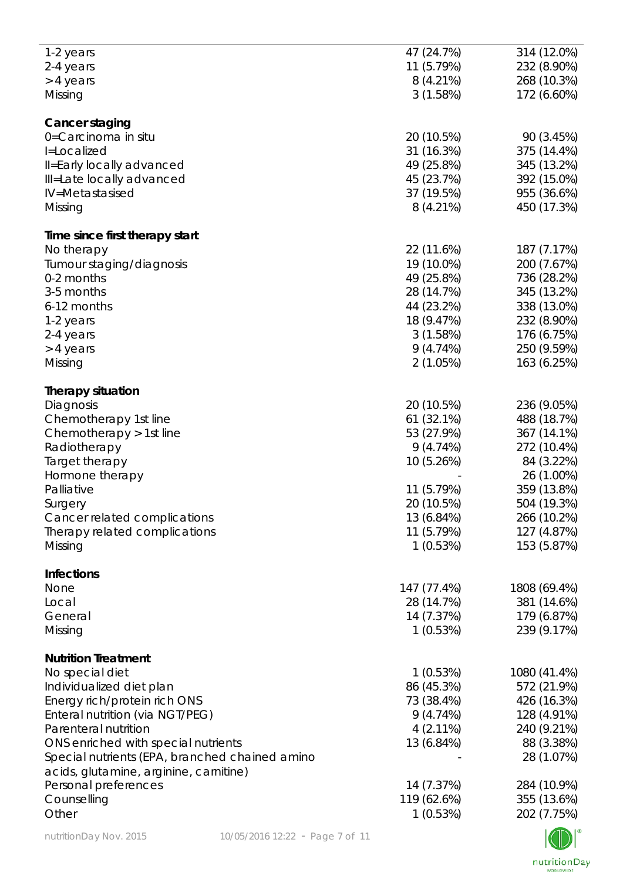| 1-2 years                                      | 47 (24.7%)  | 314 (12.0%)    |
|------------------------------------------------|-------------|----------------|
| 2-4 years                                      | 11 (5.79%)  | 232 (8.90%)    |
| > 4 years                                      | $8(4.21\%)$ | 268 (10.3%)    |
| Missing                                        | 3(1.58%)    | 172 (6.60%)    |
|                                                |             |                |
| Cancer staging                                 |             |                |
| 0=Carcinoma in situ                            | 20 (10.5%)  | 90 (3.45%)     |
| I=Localized                                    | 31 (16.3%)  | 375 (14.4%)    |
| Il=Early locally advanced                      | 49 (25.8%)  | 345 (13.2%)    |
| Ill=Late locally advanced                      | 45 (23.7%)  | 392 (15.0%)    |
| IV=Metastasised                                | 37 (19.5%)  | 955 (36.6%)    |
| Missing                                        | $8(4.21\%)$ | 450 (17.3%)    |
|                                                |             |                |
| Time since first therapy start                 |             |                |
| No therapy                                     | 22 (11.6%)  | 187 (7.17%)    |
| Tumour staging/diagnosis                       | 19 (10.0%)  | 200 (7.67%)    |
| 0-2 months                                     | 49 (25.8%)  | 736 (28.2%)    |
| 3-5 months                                     | 28 (14.7%)  | 345 (13.2%)    |
| 6-12 months                                    | 44 (23.2%)  | 338 (13.0%)    |
| 1-2 years                                      | 18 (9.47%)  | 232 (8.90%)    |
| 2-4 years                                      | 3(1.58%)    | 176 (6.75%)    |
| > 4 years                                      | 9(4.74%)    | 250 (9.59%)    |
| Missing                                        | 2(1.05%)    | 163 (6.25%)    |
|                                                |             |                |
| <b>Therapy situation</b>                       |             |                |
| Diagnosis                                      | 20 (10.5%)  | 236 (9.05%)    |
| Chemotherapy 1st line                          | 61 (32.1%)  | 488 (18.7%)    |
| Chemotherapy > 1st line                        | 53 (27.9%)  | 367 (14.1%)    |
| Radiotherapy                                   | 9(4.74%)    | 272 (10.4%)    |
| Target therapy                                 | 10 (5.26%)  | 84 (3.22%)     |
| Hormone therapy                                |             | 26 (1.00%)     |
| Palliative                                     | 11 (5.79%)  | 359 (13.8%)    |
| Surgery                                        | 20 (10.5%)  | 504 (19.3%)    |
| Cancer related complications                   | 13 (6.84%)  | 266 (10.2%)    |
| Therapy related complications                  | 11 (5.79%)  | 127 (4.87%)    |
| Missing                                        | 1(0.53%)    | 153 (5.87%)    |
|                                                |             |                |
| <b>Infections</b>                              |             |                |
| None                                           | 147 (77.4%) | 1808 (69.4%)   |
| Local                                          | 28 (14.7%)  | 381 (14.6%)    |
| General                                        | 14 (7.37%)  | 179 (6.87%)    |
| Missing                                        | 1(0.53%)    | 239 (9.17%)    |
|                                                |             |                |
| <b>Nutrition Treatment</b>                     |             |                |
| No special diet                                | 1(0.53%)    | 1080 (41.4%)   |
| Individualized diet plan                       | 86 (45.3%)  | 572 (21.9%)    |
| Energy rich/protein rich ONS                   | 73 (38.4%)  | 426 (16.3%)    |
| Enteral nutrition (via NGT/PEG)                | 9(4.74%)    | 128 (4.91%)    |
| Parenteral nutrition                           | $4(2.11\%)$ | 240 (9.21%)    |
| ONS enriched with special nutrients            | 13 (6.84%)  | 88 (3.38%)     |
| Special nutrients (EPA, branched chained amino |             | 28 (1.07%)     |
| acids, glutamine, arginine, carnitine)         |             |                |
| Personal preferences                           | 14 (7.37%)  | 284 (10.9%)    |
| Counselling                                    | 119 (62.6%) | 355 (13.6%)    |
| Other                                          | 1(0.53%)    | 202 (7.75%)    |
|                                                |             | $\blacksquare$ |
|                                                |             |                |

 $\mathbb{C} \mathbb{D} \mathbb{I}$ nutritionDay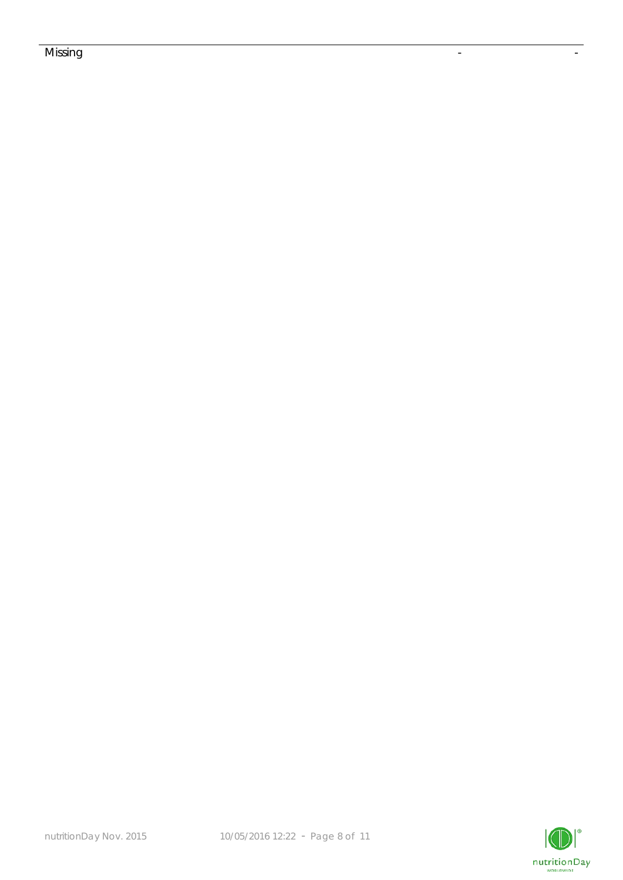## Missing the contract of the contract of the contract of the contract of the contract of the contract of the co

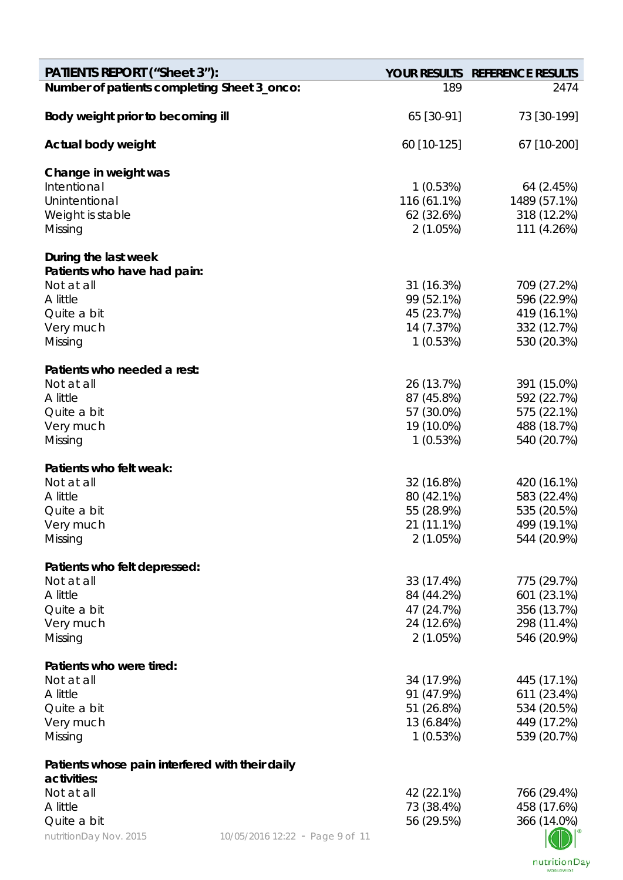| <b>PATIENTS REPORT ("Sheet 3"):</b>             |                                 |                          | YOUR RESULTS REFERENCE RESULTS |
|-------------------------------------------------|---------------------------------|--------------------------|--------------------------------|
| Number of patients completing Sheet 3_onco:     |                                 | 189                      | 2474                           |
| Body weight prior to becoming ill               |                                 | 65 [30-91]               | 73 [30-199]                    |
| Actual body weight                              |                                 | 60 [10-125]              | 67 [10-200]                    |
| Change in weight was                            |                                 |                          |                                |
| Intentional                                     |                                 | 1(0.53%)                 | 64 (2.45%)                     |
| Unintentional                                   |                                 | 116 (61.1%)              | 1489 (57.1%)                   |
| Weight is stable                                |                                 | 62 (32.6%)<br>2(1.05%)   | 318 (12.2%)<br>111 (4.26%)     |
| Missing                                         |                                 |                          |                                |
| During the last week                            |                                 |                          |                                |
| Patients who have had pain:                     |                                 |                          |                                |
| Not at all                                      |                                 | 31 (16.3%)               | 709 (27.2%)                    |
| A little                                        |                                 | 99 (52.1%)               | 596 (22.9%)                    |
| Quite a bit<br>Very much                        |                                 | 45 (23.7%)<br>14 (7.37%) | 419 (16.1%)<br>332 (12.7%)     |
| Missing                                         |                                 | 1(0.53%)                 | 530 (20.3%)                    |
|                                                 |                                 |                          |                                |
| Patients who needed a rest:                     |                                 |                          |                                |
| Not at all                                      |                                 | 26 (13.7%)               | 391 (15.0%)                    |
| A little                                        |                                 | 87 (45.8%)               | 592 (22.7%)                    |
| Quite a bit<br>Very much                        |                                 | 57 (30.0%)<br>19 (10.0%) | 575 (22.1%)<br>488 (18.7%)     |
| Missing                                         |                                 | 1(0.53%)                 | 540 (20.7%)                    |
|                                                 |                                 |                          |                                |
| Patients who felt weak:                         |                                 |                          |                                |
| Not at all                                      |                                 | 32 (16.8%)               | 420 (16.1%)                    |
| A little                                        |                                 | 80 (42.1%)               | 583 (22.4%)                    |
| Quite a bit                                     |                                 | 55 (28.9%)               | 535 (20.5%)                    |
| Very much                                       |                                 | 21 (11.1%)               | 499 (19.1%)                    |
| Missing                                         |                                 | 2(1.05%)                 | 544 (20.9%)                    |
| Patients who felt depressed:                    |                                 |                          |                                |
| Not at all                                      |                                 | 33 (17.4%)               | 775 (29.7%)                    |
| A little                                        |                                 | 84 (44.2%)               | 601 (23.1%)                    |
| Quite a bit                                     |                                 | 47 (24.7%)               | 356 (13.7%)                    |
| Very much                                       |                                 | 24 (12.6%)               | 298 (11.4%)                    |
| Missing                                         |                                 | 2(1.05%)                 | 546 (20.9%)                    |
| Patients who were tired:                        |                                 |                          |                                |
| Not at all                                      |                                 | 34 (17.9%)               | 445 (17.1%)                    |
| A little                                        |                                 | 91 (47.9%)               | 611 (23.4%)                    |
| Quite a bit                                     |                                 | 51 (26.8%)               | 534 (20.5%)                    |
| Very much                                       |                                 | 13 (6.84%)               | 449 (17.2%)                    |
| Missing                                         |                                 | 1(0.53%)                 | 539 (20.7%)                    |
| Patients whose pain interfered with their daily |                                 |                          |                                |
| activities:<br>Not at all                       |                                 | 42 (22.1%)               | 766 (29.4%)                    |
| A little                                        |                                 | 73 (38.4%)               | 458 (17.6%)                    |
| Quite a bit                                     |                                 | 56 (29.5%)               | 366 (14.0%)                    |
| nutritionDay Nov. 2015                          | 10/05/2016 12:22 - Page 9 of 11 |                          |                                |
|                                                 |                                 |                          |                                |

nutritionDay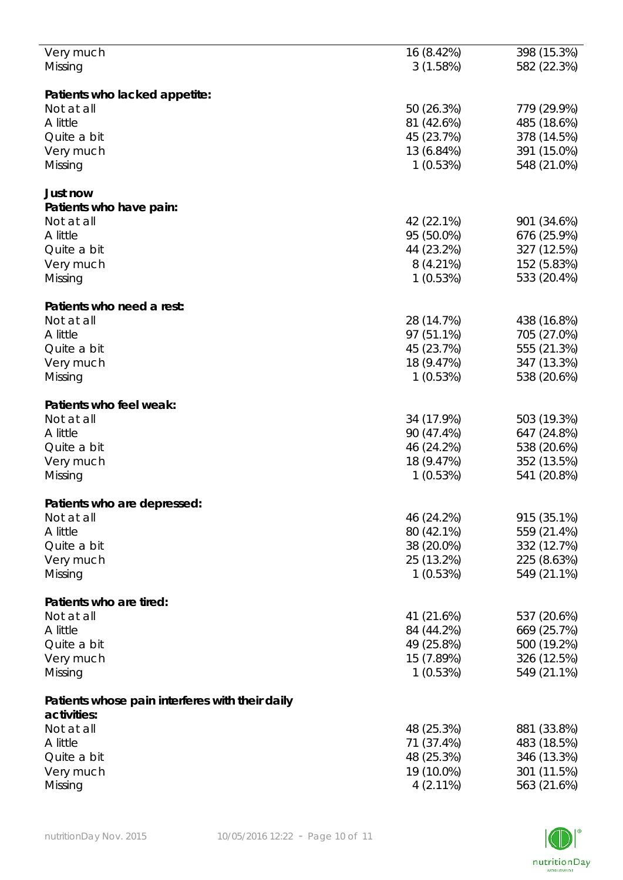| Very much                                       | 16 (8.42%)  | 398 (15.3%) |
|-------------------------------------------------|-------------|-------------|
| Missing                                         | 3(1.58%)    | 582 (22.3%) |
|                                                 |             |             |
|                                                 |             |             |
| Patients who lacked appetite:                   |             |             |
| Not at all                                      | 50 (26.3%)  | 779 (29.9%) |
| A little                                        | 81 (42.6%)  | 485 (18.6%) |
| Quite a bit                                     | 45 (23.7%)  | 378 (14.5%) |
| Very much                                       | 13 (6.84%)  | 391 (15.0%) |
| Missing                                         | 1(0.53%)    | 548 (21.0%) |
|                                                 |             |             |
| Just now                                        |             |             |
|                                                 |             |             |
| Patients who have pain:                         |             |             |
| Not at all                                      | 42 (22.1%)  | 901 (34.6%) |
| A little                                        | 95 (50.0%)  | 676 (25.9%) |
| Quite a bit                                     | 44 (23.2%)  | 327 (12.5%) |
| Very much                                       | $8(4.21\%)$ | 152 (5.83%) |
| Missing                                         | 1(0.53%)    | 533 (20.4%) |
|                                                 |             |             |
|                                                 |             |             |
| Patients who need a rest:                       |             |             |
| Not at all                                      | 28 (14.7%)  | 438 (16.8%) |
| A little                                        | 97 (51.1%)  | 705 (27.0%) |
| Quite a bit                                     | 45 (23.7%)  | 555 (21.3%) |
| Very much                                       | 18 (9.47%)  | 347 (13.3%) |
| Missing                                         | 1(0.53%)    | 538 (20.6%) |
|                                                 |             |             |
|                                                 |             |             |
| Patients who feel weak:                         |             |             |
| Not at all                                      | 34 (17.9%)  | 503 (19.3%) |
| A little                                        | 90 (47.4%)  | 647 (24.8%) |
| Quite a bit                                     | 46 (24.2%)  | 538 (20.6%) |
| Very much                                       | 18 (9.47%)  | 352 (13.5%) |
| Missing                                         | 1(0.53%)    | 541 (20.8%) |
|                                                 |             |             |
|                                                 |             |             |
| Patients who are depressed:                     |             |             |
| Not at all                                      | 46 (24.2%)  | 915 (35.1%) |
| A little                                        | 80 (42.1%)  | 559 (21.4%) |
| Quite a bit                                     | 38 (20.0%)  | 332 (12.7%) |
| Very much                                       | 25 (13.2%)  | 225 (8.63%) |
| Missing                                         | 1(0.53%)    | 549 (21.1%) |
|                                                 |             |             |
|                                                 |             |             |
| Patients who are tired:                         |             |             |
| Not at all                                      | 41 (21.6%)  | 537 (20.6%) |
| A little                                        | 84 (44.2%)  | 669 (25.7%) |
| Quite a bit                                     | 49 (25.8%)  | 500 (19.2%) |
| Very much                                       | 15 (7.89%)  | 326 (12.5%) |
| Missing                                         | 1(0.53%)    | 549 (21.1%) |
|                                                 |             |             |
|                                                 |             |             |
| Patients whose pain interferes with their daily |             |             |
| activities:                                     |             |             |
| Not at all                                      | 48 (25.3%)  | 881 (33.8%) |
| A little                                        | 71 (37.4%)  | 483 (18.5%) |
| Quite a bit                                     | 48 (25.3%)  | 346 (13.3%) |
|                                                 | 19 (10.0%)  | 301 (11.5%) |
| Very much                                       |             |             |
| Missing                                         | $4(2.11\%)$ | 563 (21.6%) |